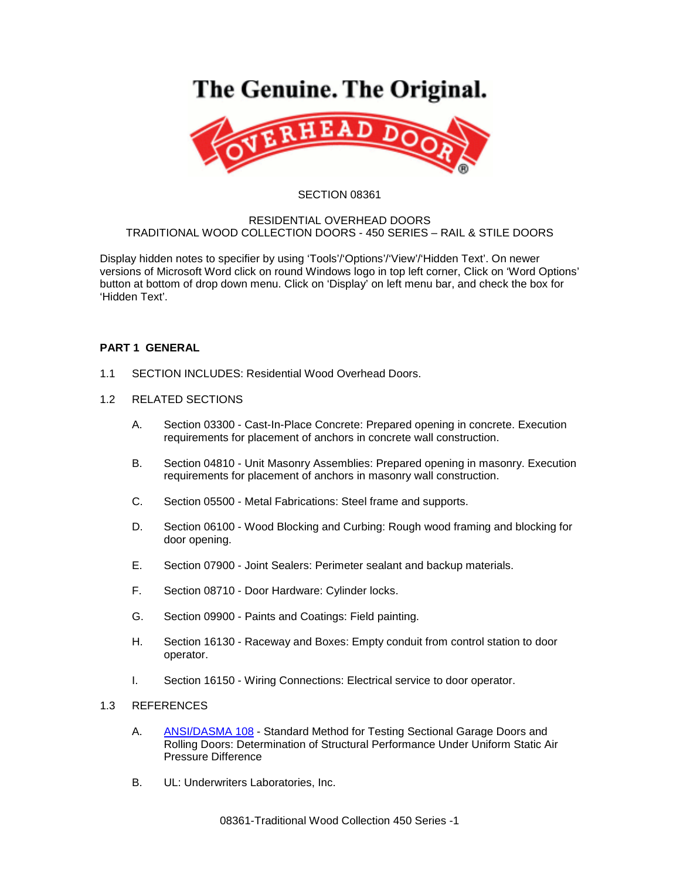# The Genuine. The Original.



#### SECTION 08361

#### RESIDENTIAL OVERHEAD DOORS TRADITIONAL WOOD COLLECTION DOORS - 450 SERIES – RAIL & STILE DOORS

Display hidden notes to specifier by using 'Tools'/'Options'/'View'/'Hidden Text'. On newer versions of Microsoft Word click on round Windows logo in top left corner, Click on 'Word Options' button at bottom of drop down menu. Click on 'Display' on left menu bar, and check the box for 'Hidden Text'.

# **PART 1 GENERAL**

- 1.1 SECTION INCLUDES: Residential Wood Overhead Doors.
- 1.2 RELATED SECTIONS
	- A. Section 03300 Cast-In-Place Concrete: Prepared opening in concrete. Execution requirements for placement of anchors in concrete wall construction.
	- B. Section 04810 Unit Masonry Assemblies: Prepared opening in masonry. Execution requirements for placement of anchors in masonry wall construction.
	- C. Section 05500 Metal Fabrications: Steel frame and supports.
	- D. Section 06100 Wood Blocking and Curbing: Rough wood framing and blocking for door opening.
	- E. Section 07900 Joint Sealers: Perimeter sealant and backup materials.
	- F. Section 08710 Door Hardware: Cylinder locks.
	- G. Section 09900 Paints and Coatings: Field painting.
	- H. Section 16130 Raceway and Boxes: Empty conduit from control station to door operator.
	- I. Section 16150 Wiring Connections: Electrical service to door operator.

# 1.3 REFERENCES

- A. [ANSI/DASMA 108](http://www.dasma.com/PDF/Publications/Standards/108-2005.pdf) Standard Method for Testing Sectional Garage Doors and Rolling Doors: Determination of Structural Performance Under Uniform Static Air Pressure Difference
- B. UL: Underwriters Laboratories, Inc.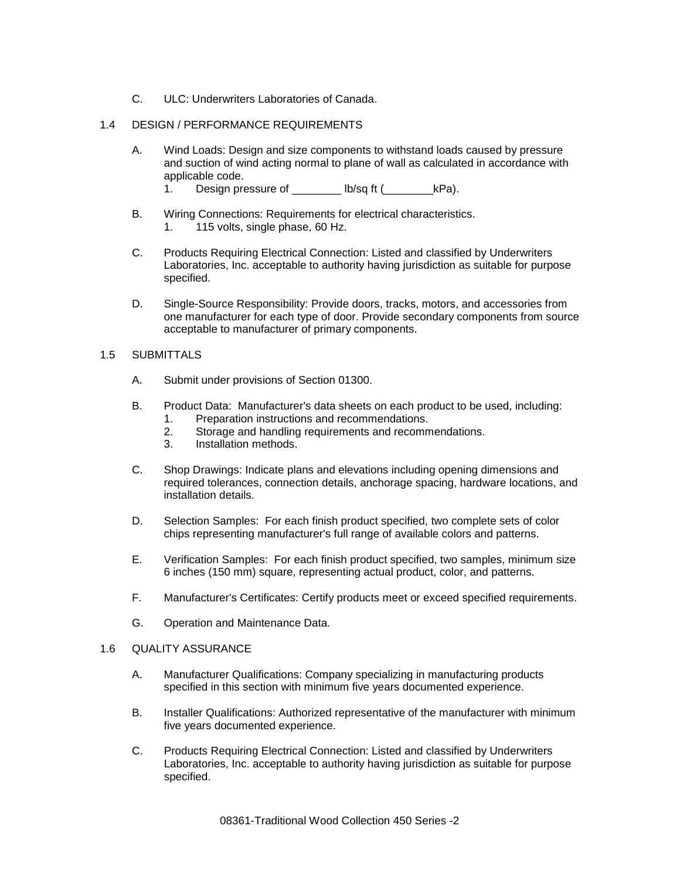C. ULC: Underwriters Laboratories of Canada.

# 1.4 DESIGN / PERFORMANCE REQUIREMENTS

- A. Wind Loads: Design and size components to withstand loads caused by pressure and suction of wind acting normal to plane of wall as calculated in accordance with applicable code.
	- 1. Design pressure of \_\_\_\_\_\_\_\_ lb/sq ft (\_\_\_\_\_\_\_\_\_kPa).
- B. Wiring Connections: Requirements for electrical characteristics. 1. 115 volts, single phase, 60 Hz.
- C. Products Requiring Electrical Connection: Listed and classified by Underwriters Laboratories, Inc. acceptable to authority having jurisdiction as suitable for purpose specified.
- D. Single-Source Responsibility: Provide doors, tracks, motors, and accessories from one manufacturer for each type of door. Provide secondary components from source acceptable to manufacturer of primary components.

#### 1.5 SUBMITTALS

- A. Submit under provisions of Section 01300.
- B. Product Data: Manufacturer's data sheets on each product to be used, including:
	- 1. Preparation instructions and recommendations.
	- 2. Storage and handling requirements and recommendations.
	- 3. Installation methods.
- C. Shop Drawings: Indicate plans and elevations including opening dimensions and required tolerances, connection details, anchorage spacing, hardware locations, and installation details.
- D. Selection Samples: For each finish product specified, two complete sets of color chips representing manufacturer's full range of available colors and patterns.
- E. Verification Samples: For each finish product specified, two samples, minimum size 6 inches (150 mm) square, representing actual product, color, and patterns.
- F. Manufacturer's Certificates: Certify products meet or exceed specified requirements.
- G. Operation and Maintenance Data.

#### 1.6 QUALITY ASSURANCE

- A. Manufacturer Qualifications: Company specializing in manufacturing products specified in this section with minimum five years documented experience.
- B. Installer Qualifications: Authorized representative of the manufacturer with minimum five years documented experience.
- C. Products Requiring Electrical Connection: Listed and classified by Underwriters Laboratories, Inc. acceptable to authority having jurisdiction as suitable for purpose specified.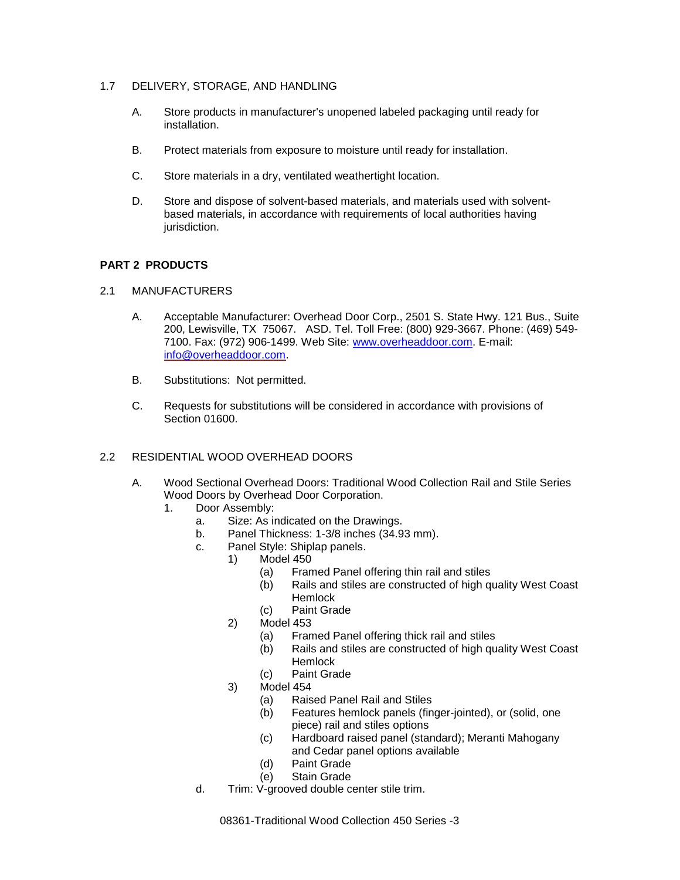- 1.7 DELIVERY, STORAGE, AND HANDLING
	- A. Store products in manufacturer's unopened labeled packaging until ready for installation.
	- B. Protect materials from exposure to moisture until ready for installation.
	- C. Store materials in a dry, ventilated weathertight location.
	- D. Store and dispose of solvent-based materials, and materials used with solventbased materials, in accordance with requirements of local authorities having jurisdiction.

# **PART 2 PRODUCTS**

- 2.1 MANUFACTURERS
	- A. Acceptable Manufacturer: Overhead Door Corp., 2501 S. State Hwy. 121 Bus., Suite 200, Lewisville, TX 75067. ASD. Tel. Toll Free: (800) 929-3667. Phone: (469) 549- 7100. Fax: (972) 906-1499. Web Site: [www.overheaddoor.com.](http://www.overheaddoor.com/) E-mail: [info@overheaddoor.com.](mailto:info@overheaddoor.com)
	- B. Substitutions: Not permitted.
	- C. Requests for substitutions will be considered in accordance with provisions of Section 01600.

# 2.2 RESIDENTIAL WOOD OVERHEAD DOORS

- A. Wood Sectional Overhead Doors: Traditional Wood Collection Rail and Stile Series Wood Doors by Overhead Door Corporation.
	- 1. Door Assembly:
		- a. Size: As indicated on the Drawings.
		- b. Panel Thickness: 1-3/8 inches (34.93 mm).
		- c. Panel Style: Shiplap panels.
			- 1) Model 450
				- (a) Framed Panel offering thin rail and stiles
				- (b) Rails and stiles are constructed of high quality West Coast **Hemlock**
				- (c) Paint Grade
			- 2) Model 453
				- (a) Framed Panel offering thick rail and stiles
				- (b) Rails and stiles are constructed of high quality West Coast **Hemlock**
				- (c) Paint Grade
			- 3) Model 454
				- (a) Raised Panel Rail and Stiles
				- (b) Features hemlock panels (finger-jointed), or (solid, one piece) rail and stiles options
				- (c) Hardboard raised panel (standard); Meranti Mahogany and Cedar panel options available
				- (d) Paint Grade
				- (e) Stain Grade
		- d. Trim: V-grooved double center stile trim.

08361-Traditional Wood Collection 450 Series -3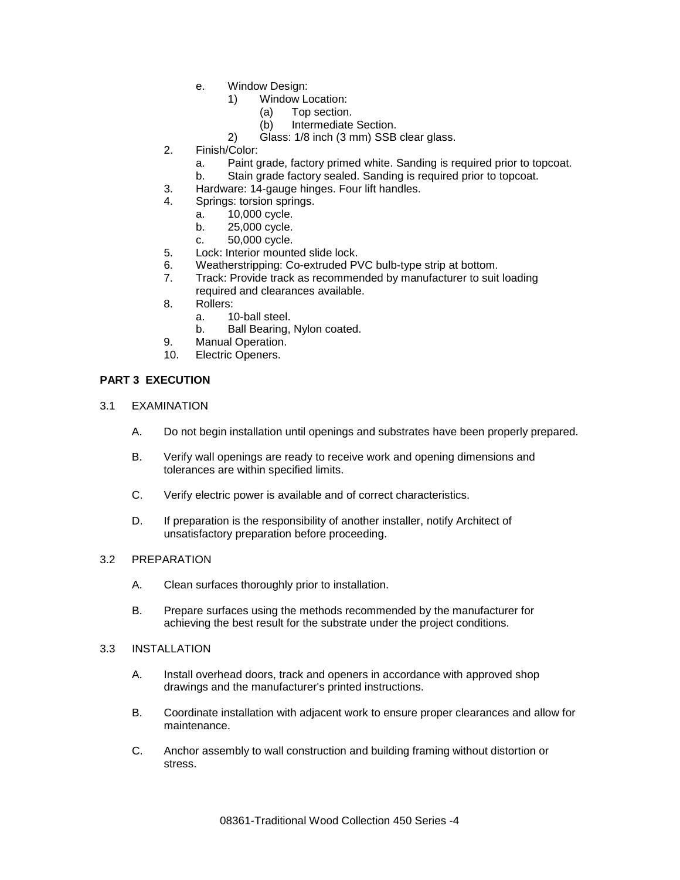- e. Window Design:
	- 1) Window Location:
		- (a) Top section.
		- (b) Intermediate Section.
	- 2) Glass: 1/8 inch (3 mm) SSB clear glass.
- 2. Finish/Color:
	- a. Paint grade, factory primed white. Sanding is required prior to topcoat.
	- b. Stain grade factory sealed. Sanding is required prior to topcoat.
- 3. Hardware: 14-gauge hinges. Four lift handles.
- Springs: torsion springs.
	- a. 10,000 cycle.
	- b. 25,000 cycle.
	- c. 50,000 cycle.
- 5. Lock: Interior mounted slide lock.
- 6. Weatherstripping: Co-extruded PVC bulb-type strip at bottom.
- 7. Track: Provide track as recommended by manufacturer to suit loading
- required and clearances available.
- 8. Rollers:
	- a. 10-ball steel.
	- b. Ball Bearing, Nylon coated.
- 9. Manual Operation.
- 10. Electric Openers.

# **PART 3 EXECUTION**

- 3.1 EXAMINATION
	- A. Do not begin installation until openings and substrates have been properly prepared.
	- B. Verify wall openings are ready to receive work and opening dimensions and tolerances are within specified limits.
	- C. Verify electric power is available and of correct characteristics.
	- D. If preparation is the responsibility of another installer, notify Architect of unsatisfactory preparation before proceeding.

# 3.2 PREPARATION

- A. Clean surfaces thoroughly prior to installation.
- B. Prepare surfaces using the methods recommended by the manufacturer for achieving the best result for the substrate under the project conditions.

#### 3.3 INSTALLATION

- A. Install overhead doors, track and openers in accordance with approved shop drawings and the manufacturer's printed instructions.
- B. Coordinate installation with adjacent work to ensure proper clearances and allow for maintenance.
- C. Anchor assembly to wall construction and building framing without distortion or stress.